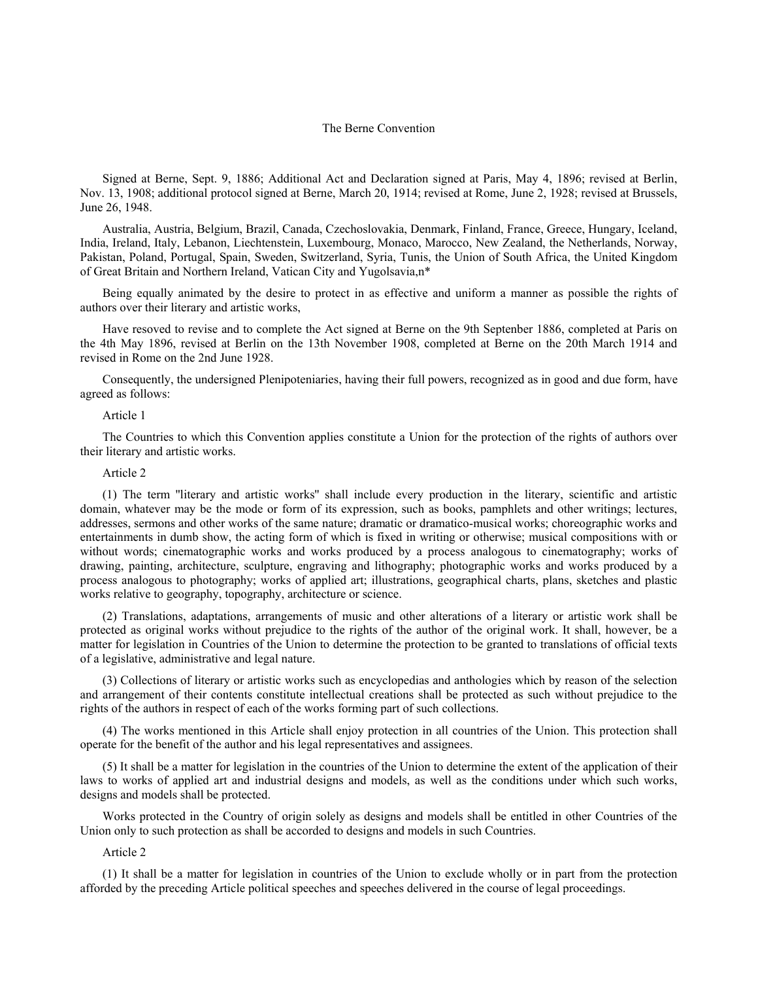# The Berne Convention

Signed at Berne, Sept. 9, 1886; Additional Act and Declaration signed at Paris, May 4, 1896; revised at Berlin, Nov. 13, 1908; additional protocol signed at Berne, March 20, 1914; revised at Rome, June 2, 1928; revised at Brussels, June 26, 1948.

Australia, Austria, Belgium, Brazil, Canada, Czechoslovakia, Denmark, Finland, France, Greece, Hungary, Iceland, India, Ireland, Italy, Lebanon, Liechtenstein, Luxembourg, Monaco, Marocco, New Zealand, the Netherlands, Norway, Pakistan, Poland, Portugal, Spain, Sweden, Switzerland, Syria, Tunis, the Union of South Africa, the United Kingdom of Great Britain and Northern Ireland, Vatican City and Yugolsavia,n\*

Being equally animated by the desire to protect in as effective and uniform a manner as possible the rights of authors over their literary and artistic works,

Have resoved to revise and to complete the Act signed at Berne on the 9th Septenber 1886, completed at Paris on the 4th May 1896, revised at Berlin on the 13th November 1908, completed at Berne on the 20th March 1914 and revised in Rome on the 2nd June 1928.

Consequently, the undersigned Plenipoteniaries, having their full powers, recognized as in good and due form, have agreed as follows:

## Article 1

The Countries to which this Convention applies constitute a Union for the protection of the rights of authors over their literary and artistic works.

## Article 2

(1) The term ''literary and artistic works'' shall include every production in the literary, scientific and artistic domain, whatever may be the mode or form of its expression, such as books, pamphlets and other writings; lectures, addresses, sermons and other works of the same nature; dramatic or dramatico-musical works; choreographic works and entertainments in dumb show, the acting form of which is fixed in writing or otherwise; musical compositions with or without words; cinematographic works and works produced by a process analogous to cinematography; works of drawing, painting, architecture, sculpture, engraving and lithography; photographic works and works produced by a process analogous to photography; works of applied art; illustrations, geographical charts, plans, sketches and plastic works relative to geography, topography, architecture or science.

(2) Translations, adaptations, arrangements of music and other alterations of a literary or artistic work shall be protected as original works without prejudice to the rights of the author of the original work. It shall, however, be a matter for legislation in Countries of the Union to determine the protection to be granted to translations of official texts of a legislative, administrative and legal nature.

(3) Collections of literary or artistic works such as encyclopedias and anthologies which by reason of the selection and arrangement of their contents constitute intellectual creations shall be protected as such without prejudice to the rights of the authors in respect of each of the works forming part of such collections.

(4) The works mentioned in this Article shall enjoy protection in all countries of the Union. This protection shall operate for the benefit of the author and his legal representatives and assignees.

(5) It shall be a matter for legislation in the countries of the Union to determine the extent of the application of their laws to works of applied art and industrial designs and models, as well as the conditions under which such works, designs and models shall be protected.

Works protected in the Country of origin solely as designs and models shall be entitled in other Countries of the Union only to such protection as shall be accorded to designs and models in such Countries.

### Article 2

(1) It shall be a matter for legislation in countries of the Union to exclude wholly or in part from the protection afforded by the preceding Article political speeches and speeches delivered in the course of legal proceedings.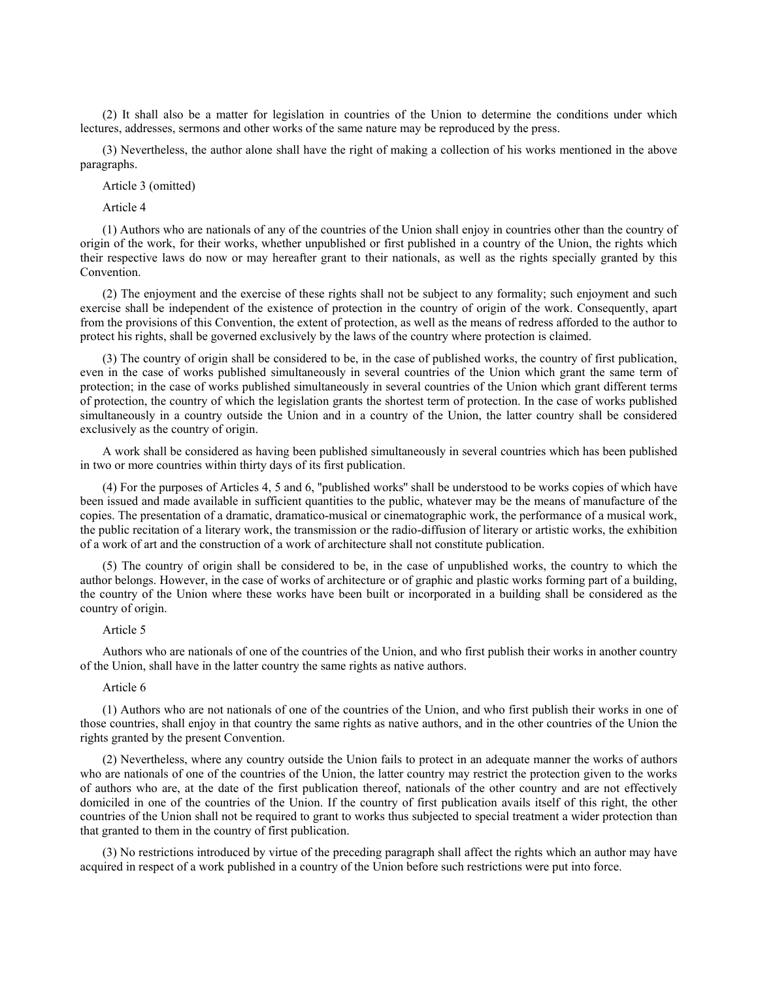(2) It shall also be a matter for legislation in countries of the Union to determine the conditions under which lectures, addresses, sermons and other works of the same nature may be reproduced by the press.

(3) Nevertheless, the author alone shall have the right of making a collection of his works mentioned in the above paragraphs.

Article 3 (omitted)

Article 4

(1) Authors who are nationals of any of the countries of the Union shall enjoy in countries other than the country of origin of the work, for their works, whether unpublished or first published in a country of the Union, the rights which their respective laws do now or may hereafter grant to their nationals, as well as the rights specially granted by this Convention.

(2) The enjoyment and the exercise of these rights shall not be subject to any formality; such enjoyment and such exercise shall be independent of the existence of protection in the country of origin of the work. Consequently, apart from the provisions of this Convention, the extent of protection, as well as the means of redress afforded to the author to protect his rights, shall be governed exclusively by the laws of the country where protection is claimed.

(3) The country of origin shall be considered to be, in the case of published works, the country of first publication, even in the case of works published simultaneously in several countries of the Union which grant the same term of protection; in the case of works published simultaneously in several countries of the Union which grant different terms of protection, the country of which the legislation grants the shortest term of protection. In the case of works published simultaneously in a country outside the Union and in a country of the Union, the latter country shall be considered exclusively as the country of origin.

A work shall be considered as having been published simultaneously in several countries which has been published in two or more countries within thirty days of its first publication.

(4) For the purposes of Articles 4, 5 and 6, ''published works'' shall be understood to be works copies of which have been issued and made available in sufficient quantities to the public, whatever may be the means of manufacture of the copies. The presentation of a dramatic, dramatico-musical or cinematographic work, the performance of a musical work, the public recitation of a literary work, the transmission or the radio-diffusion of literary or artistic works, the exhibition of a work of art and the construction of a work of architecture shall not constitute publication.

(5) The country of origin shall be considered to be, in the case of unpublished works, the country to which the author belongs. However, in the case of works of architecture or of graphic and plastic works forming part of a building, the country of the Union where these works have been built or incorporated in a building shall be considered as the country of origin.

## Article 5

Authors who are nationals of one of the countries of the Union, and who first publish their works in another country of the Union, shall have in the latter country the same rights as native authors.

# Article 6

(1) Authors who are not nationals of one of the countries of the Union, and who first publish their works in one of those countries, shall enjoy in that country the same rights as native authors, and in the other countries of the Union the rights granted by the present Convention.

(2) Nevertheless, where any country outside the Union fails to protect in an adequate manner the works of authors who are nationals of one of the countries of the Union, the latter country may restrict the protection given to the works of authors who are, at the date of the first publication thereof, nationals of the other country and are not effectively domiciled in one of the countries of the Union. If the country of first publication avails itself of this right, the other countries of the Union shall not be required to grant to works thus subjected to special treatment a wider protection than that granted to them in the country of first publication.

(3) No restrictions introduced by virtue of the preceding paragraph shall affect the rights which an author may have acquired in respect of a work published in a country of the Union before such restrictions were put into force.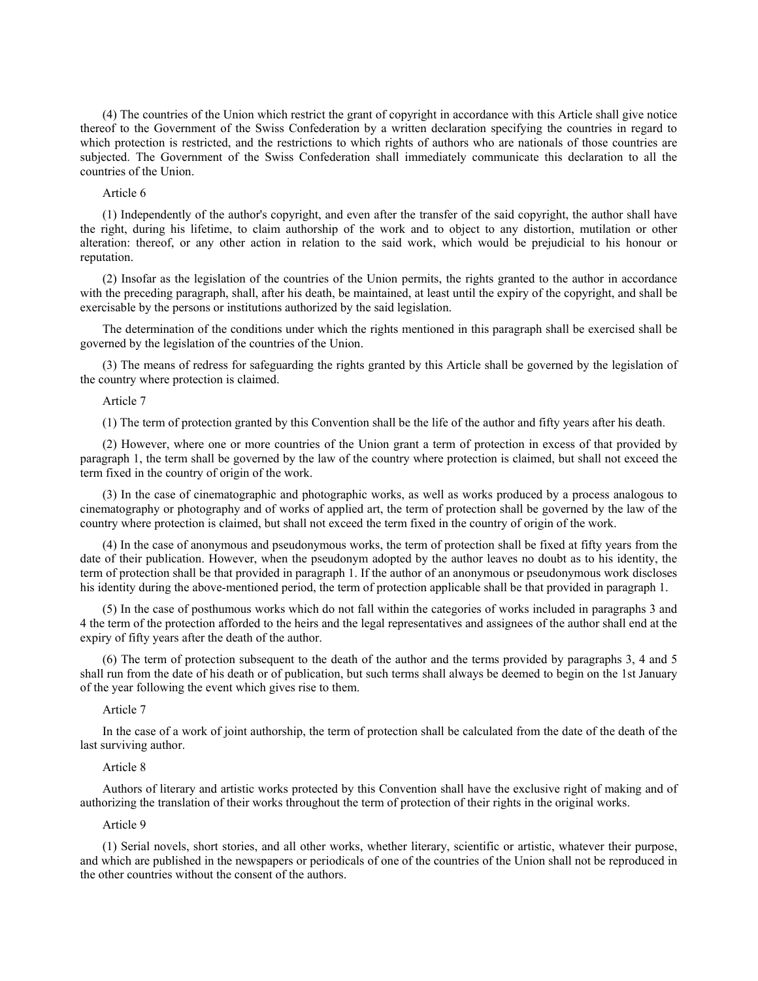(4) The countries of the Union which restrict the grant of copyright in accordance with this Article shall give notice thereof to the Government of the Swiss Confederation by a written declaration specifying the countries in regard to which protection is restricted, and the restrictions to which rights of authors who are nationals of those countries are subjected. The Government of the Swiss Confederation shall immediately communicate this declaration to all the countries of the Union.

# Article 6

(1) Independently of the author's copyright, and even after the transfer of the said copyright, the author shall have the right, during his lifetime, to claim authorship of the work and to object to any distortion, mutilation or other alteration: thereof, or any other action in relation to the said work, which would be prejudicial to his honour or reputation.

(2) Insofar as the legislation of the countries of the Union permits, the rights granted to the author in accordance with the preceding paragraph, shall, after his death, be maintained, at least until the expiry of the copyright, and shall be exercisable by the persons or institutions authorized by the said legislation.

The determination of the conditions under which the rights mentioned in this paragraph shall be exercised shall be governed by the legislation of the countries of the Union.

(3) The means of redress for safeguarding the rights granted by this Article shall be governed by the legislation of the country where protection is claimed.

# Article 7

(1) The term of protection granted by this Convention shall be the life of the author and fifty years after his death.

(2) However, where one or more countries of the Union grant a term of protection in excess of that provided by paragraph 1, the term shall be governed by the law of the country where protection is claimed, but shall not exceed the term fixed in the country of origin of the work.

(3) In the case of cinematographic and photographic works, as well as works produced by a process analogous to cinematography or photography and of works of applied art, the term of protection shall be governed by the law of the country where protection is claimed, but shall not exceed the term fixed in the country of origin of the work.

(4) In the case of anonymous and pseudonymous works, the term of protection shall be fixed at fifty years from the date of their publication. However, when the pseudonym adopted by the author leaves no doubt as to his identity, the term of protection shall be that provided in paragraph 1. If the author of an anonymous or pseudonymous work discloses his identity during the above-mentioned period, the term of protection applicable shall be that provided in paragraph 1.

(5) In the case of posthumous works which do not fall within the categories of works included in paragraphs 3 and 4 the term of the protection afforded to the heirs and the legal representatives and assignees of the author shall end at the expiry of fifty years after the death of the author.

(6) The term of protection subsequent to the death of the author and the terms provided by paragraphs 3, 4 and 5 shall run from the date of his death or of publication, but such terms shall always be deemed to begin on the 1st January of the year following the event which gives rise to them.

## Article 7

In the case of a work of joint authorship, the term of protection shall be calculated from the date of the death of the last surviving author.

# Article 8

Authors of literary and artistic works protected by this Convention shall have the exclusive right of making and of authorizing the translation of their works throughout the term of protection of their rights in the original works.

# Article 9

(1) Serial novels, short stories, and all other works, whether literary, scientific or artistic, whatever their purpose, and which are published in the newspapers or periodicals of one of the countries of the Union shall not be reproduced in the other countries without the consent of the authors.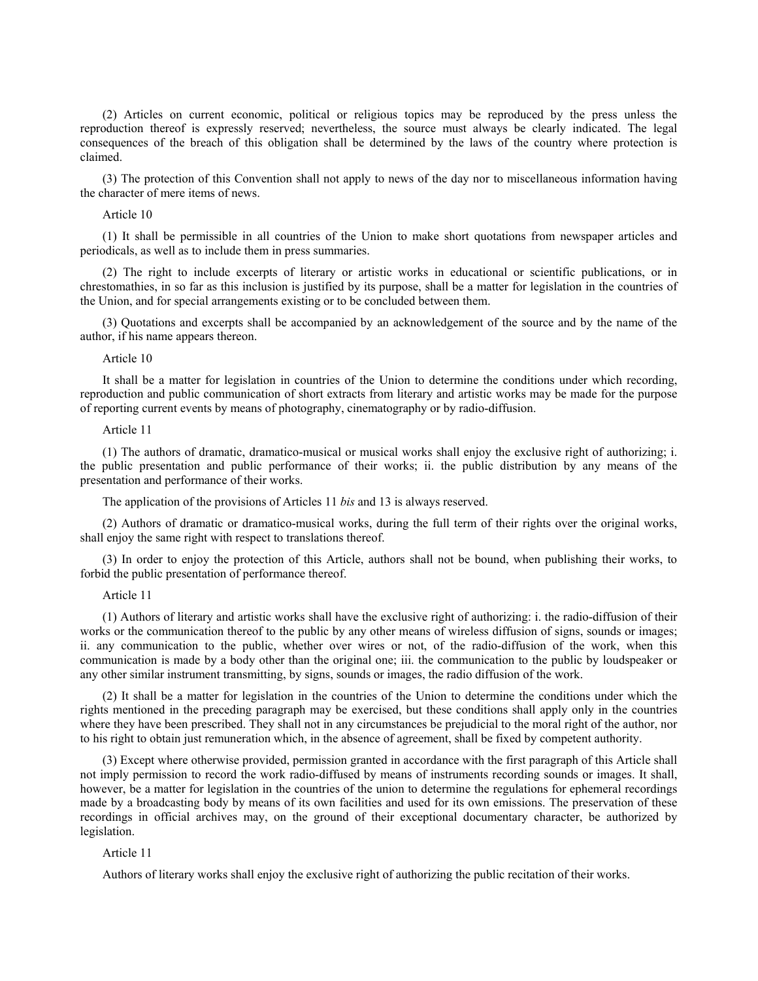(2) Articles on current economic, political or religious topics may be reproduced by the press unless the reproduction thereof is expressly reserved; nevertheless, the source must always be clearly indicated. The legal consequences of the breach of this obligation shall be determined by the laws of the country where protection is claimed.

(3) The protection of this Convention shall not apply to news of the day nor to miscellaneous information having the character of mere items of news.

Article 10

(1) It shall be permissible in all countries of the Union to make short quotations from newspaper articles and periodicals, as well as to include them in press summaries.

(2) The right to include excerpts of literary or artistic works in educational or scientific publications, or in chrestomathies, in so far as this inclusion is justified by its purpose, shall be a matter for legislation in the countries of the Union, and for special arrangements existing or to be concluded between them.

(3) Quotations and excerpts shall be accompanied by an acknowledgement of the source and by the name of the author, if his name appears thereon.

### Article 10

It shall be a matter for legislation in countries of the Union to determine the conditions under which recording, reproduction and public communication of short extracts from literary and artistic works may be made for the purpose of reporting current events by means of photography, cinematography or by radio-diffusion.

# Article 11

(1) The authors of dramatic, dramatico-musical or musical works shall enjoy the exclusive right of authorizing; i. the public presentation and public performance of their works; ii. the public distribution by any means of the presentation and performance of their works.

The application of the provisions of Articles 11 *bis* and 13 is always reserved.

(2) Authors of dramatic or dramatico-musical works, during the full term of their rights over the original works, shall enjoy the same right with respect to translations thereof.

(3) In order to enjoy the protection of this Article, authors shall not be bound, when publishing their works, to forbid the public presentation of performance thereof.

### Article 11

(1) Authors of literary and artistic works shall have the exclusive right of authorizing: i. the radio-diffusion of their works or the communication thereof to the public by any other means of wireless diffusion of signs, sounds or images; ii. any communication to the public, whether over wires or not, of the radio-diffusion of the work, when this communication is made by a body other than the original one; iii. the communication to the public by loudspeaker or any other similar instrument transmitting, by signs, sounds or images, the radio diffusion of the work.

(2) It shall be a matter for legislation in the countries of the Union to determine the conditions under which the rights mentioned in the preceding paragraph may be exercised, but these conditions shall apply only in the countries where they have been prescribed. They shall not in any circumstances be prejudicial to the moral right of the author, nor to his right to obtain just remuneration which, in the absence of agreement, shall be fixed by competent authority.

(3) Except where otherwise provided, permission granted in accordance with the first paragraph of this Article shall not imply permission to record the work radio-diffused by means of instruments recording sounds or images. It shall, however, be a matter for legislation in the countries of the union to determine the regulations for ephemeral recordings made by a broadcasting body by means of its own facilities and used for its own emissions. The preservation of these recordings in official archives may, on the ground of their exceptional documentary character, be authorized by legislation.

### Article 11

Authors of literary works shall enjoy the exclusive right of authorizing the public recitation of their works.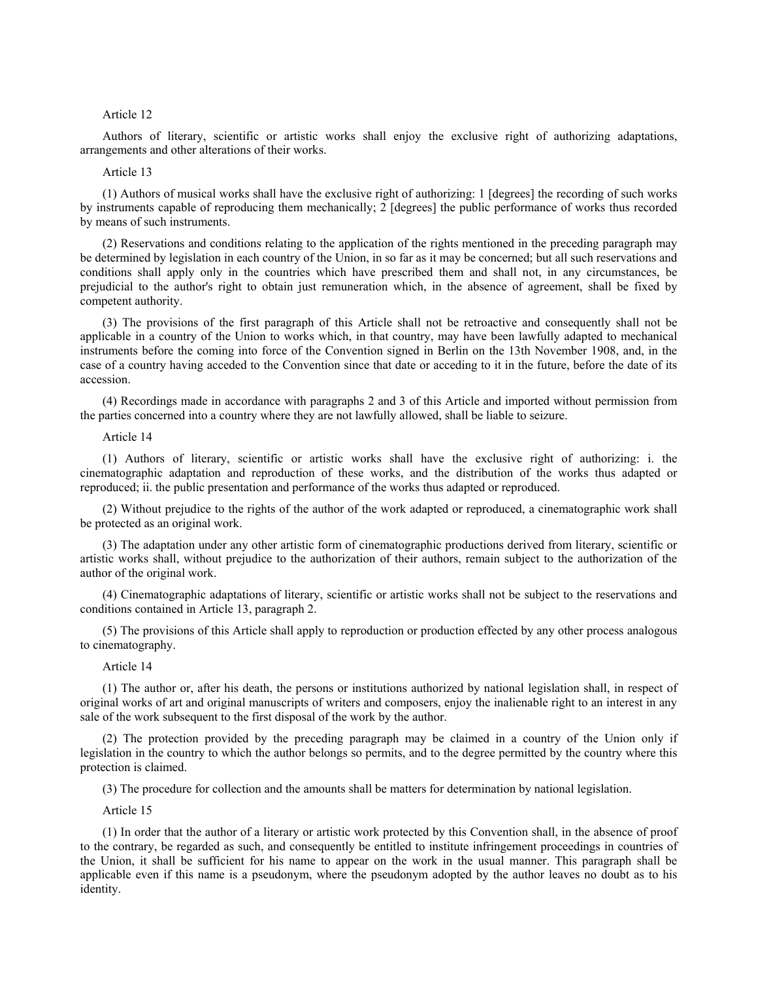## Article 12

Authors of literary, scientific or artistic works shall enjoy the exclusive right of authorizing adaptations, arrangements and other alterations of their works.

# Article 13

(1) Authors of musical works shall have the exclusive right of authorizing: 1 [degrees] the recording of such works by instruments capable of reproducing them mechanically; 2 [degrees] the public performance of works thus recorded by means of such instruments.

(2) Reservations and conditions relating to the application of the rights mentioned in the preceding paragraph may be determined by legislation in each country of the Union, in so far as it may be concerned; but all such reservations and conditions shall apply only in the countries which have prescribed them and shall not, in any circumstances, be prejudicial to the author's right to obtain just remuneration which, in the absence of agreement, shall be fixed by competent authority.

(3) The provisions of the first paragraph of this Article shall not be retroactive and consequently shall not be applicable in a country of the Union to works which, in that country, may have been lawfully adapted to mechanical instruments before the coming into force of the Convention signed in Berlin on the 13th November 1908, and, in the case of a country having acceded to the Convention since that date or acceding to it in the future, before the date of its accession.

(4) Recordings made in accordance with paragraphs 2 and 3 of this Article and imported without permission from the parties concerned into a country where they are not lawfully allowed, shall be liable to seizure.

## Article 14

(1) Authors of literary, scientific or artistic works shall have the exclusive right of authorizing: i. the cinematographic adaptation and reproduction of these works, and the distribution of the works thus adapted or reproduced; ii. the public presentation and performance of the works thus adapted or reproduced.

(2) Without prejudice to the rights of the author of the work adapted or reproduced, a cinematographic work shall be protected as an original work.

(3) The adaptation under any other artistic form of cinematographic productions derived from literary, scientific or artistic works shall, without prejudice to the authorization of their authors, remain subject to the authorization of the author of the original work.

(4) Cinematographic adaptations of literary, scientific or artistic works shall not be subject to the reservations and conditions contained in Article 13, paragraph 2.

(5) The provisions of this Article shall apply to reproduction or production effected by any other process analogous to cinematography.

### Article 14

(1) The author or, after his death, the persons or institutions authorized by national legislation shall, in respect of original works of art and original manuscripts of writers and composers, enjoy the inalienable right to an interest in any sale of the work subsequent to the first disposal of the work by the author.

(2) The protection provided by the preceding paragraph may be claimed in a country of the Union only if legislation in the country to which the author belongs so permits, and to the degree permitted by the country where this protection is claimed.

(3) The procedure for collection and the amounts shall be matters for determination by national legislation.

Article 15

(1) In order that the author of a literary or artistic work protected by this Convention shall, in the absence of proof to the contrary, be regarded as such, and consequently be entitled to institute infringement proceedings in countries of the Union, it shall be sufficient for his name to appear on the work in the usual manner. This paragraph shall be applicable even if this name is a pseudonym, where the pseudonym adopted by the author leaves no doubt as to his identity.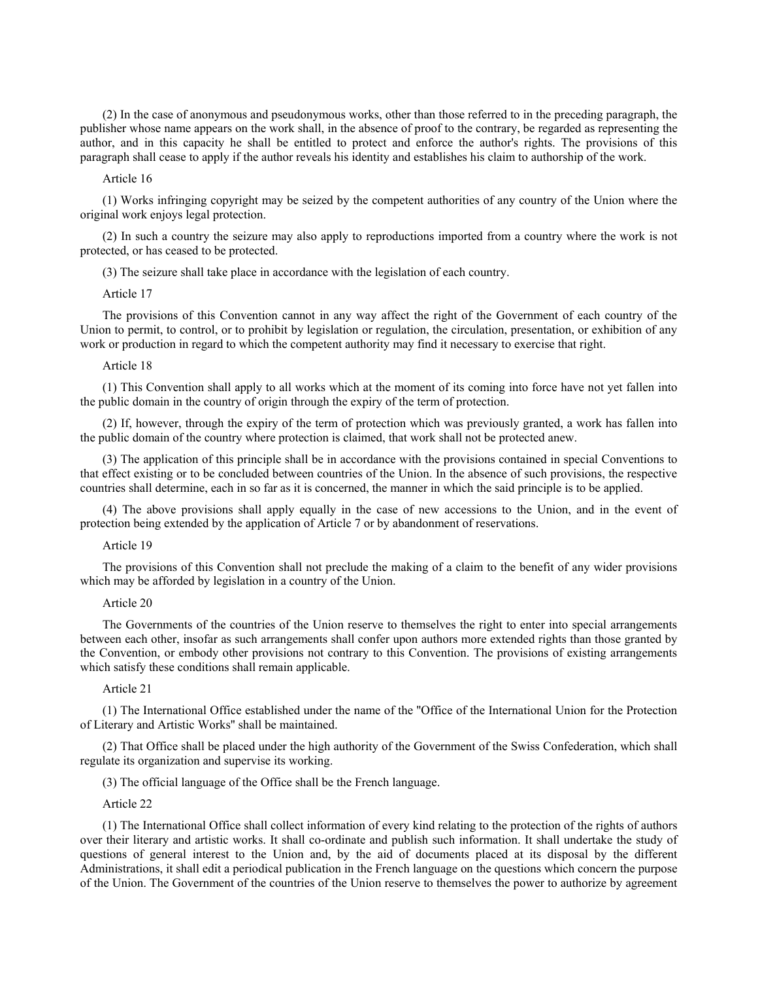(2) In the case of anonymous and pseudonymous works, other than those referred to in the preceding paragraph, the publisher whose name appears on the work shall, in the absence of proof to the contrary, be regarded as representing the author, and in this capacity he shall be entitled to protect and enforce the author's rights. The provisions of this paragraph shall cease to apply if the author reveals his identity and establishes his claim to authorship of the work.

# Article 16

(1) Works infringing copyright may be seized by the competent authorities of any country of the Union where the original work enjoys legal protection.

(2) In such a country the seizure may also apply to reproductions imported from a country where the work is not protected, or has ceased to be protected.

(3) The seizure shall take place in accordance with the legislation of each country.

### Article 17

The provisions of this Convention cannot in any way affect the right of the Government of each country of the Union to permit, to control, or to prohibit by legislation or regulation, the circulation, presentation, or exhibition of any work or production in regard to which the competent authority may find it necessary to exercise that right.

### Article 18

(1) This Convention shall apply to all works which at the moment of its coming into force have not yet fallen into the public domain in the country of origin through the expiry of the term of protection.

(2) If, however, through the expiry of the term of protection which was previously granted, a work has fallen into the public domain of the country where protection is claimed, that work shall not be protected anew.

(3) The application of this principle shall be in accordance with the provisions contained in special Conventions to that effect existing or to be concluded between countries of the Union. In the absence of such provisions, the respective countries shall determine, each in so far as it is concerned, the manner in which the said principle is to be applied.

(4) The above provisions shall apply equally in the case of new accessions to the Union, and in the event of protection being extended by the application of Article 7 or by abandonment of reservations.

# Article 19

The provisions of this Convention shall not preclude the making of a claim to the benefit of any wider provisions which may be afforded by legislation in a country of the Union.

### Article 20

The Governments of the countries of the Union reserve to themselves the right to enter into special arrangements between each other, insofar as such arrangements shall confer upon authors more extended rights than those granted by the Convention, or embody other provisions not contrary to this Convention. The provisions of existing arrangements which satisfy these conditions shall remain applicable.

## Article 21

(1) The International Office established under the name of the ''Office of the International Union for the Protection of Literary and Artistic Works'' shall be maintained.

(2) That Office shall be placed under the high authority of the Government of the Swiss Confederation, which shall regulate its organization and supervise its working.

(3) The official language of the Office shall be the French language.

## Article 22

(1) The International Office shall collect information of every kind relating to the protection of the rights of authors over their literary and artistic works. It shall co-ordinate and publish such information. It shall undertake the study of questions of general interest to the Union and, by the aid of documents placed at its disposal by the different Administrations, it shall edit a periodical publication in the French language on the questions which concern the purpose of the Union. The Government of the countries of the Union reserve to themselves the power to authorize by agreement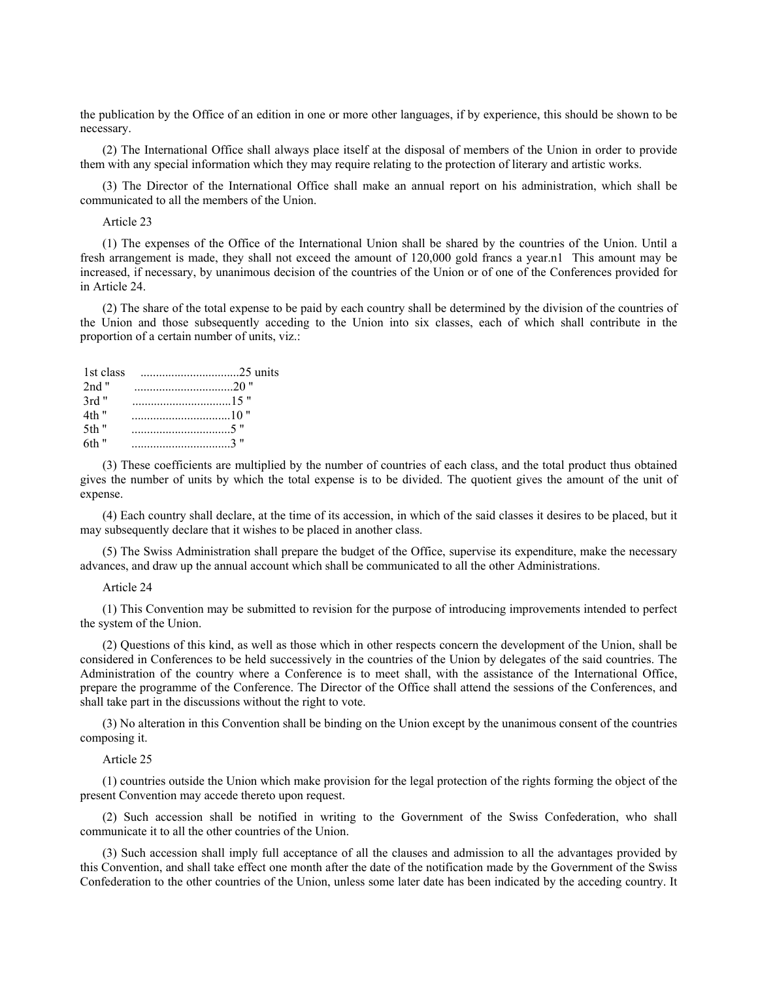the publication by the Office of an edition in one or more other languages, if by experience, this should be shown to be necessary.

(2) The International Office shall always place itself at the disposal of members of the Union in order to provide them with any special information which they may require relating to the protection of literary and artistic works.

(3) The Director of the International Office shall make an annual report on his administration, which shall be communicated to all the members of the Union.

## Article 23

(1) The expenses of the Office of the International Union shall be shared by the countries of the Union. Until a fresh arrangement is made, they shall not exceed the amount of 120,000 gold francs a year.n1 This amount may be increased, if necessary, by unanimous decision of the countries of the Union or of one of the Conferences provided for in Article 24.

(2) The share of the total expense to be paid by each country shall be determined by the division of the countries of the Union and those subsequently acceding to the Union into six classes, each of which shall contribute in the proportion of a certain number of units, viz.:

| 1st class |  |
|-----------|--|
| $2nd$ "   |  |
| $3rd$ "   |  |
| 4th "     |  |
| .5th "    |  |
| 6th "     |  |

(3) These coefficients are multiplied by the number of countries of each class, and the total product thus obtained gives the number of units by which the total expense is to be divided. The quotient gives the amount of the unit of expense.

(4) Each country shall declare, at the time of its accession, in which of the said classes it desires to be placed, but it may subsequently declare that it wishes to be placed in another class.

(5) The Swiss Administration shall prepare the budget of the Office, supervise its expenditure, make the necessary advances, and draw up the annual account which shall be communicated to all the other Administrations.

### Article 24

(1) This Convention may be submitted to revision for the purpose of introducing improvements intended to perfect the system of the Union.

(2) Questions of this kind, as well as those which in other respects concern the development of the Union, shall be considered in Conferences to be held successively in the countries of the Union by delegates of the said countries. The Administration of the country where a Conference is to meet shall, with the assistance of the International Office, prepare the programme of the Conference. The Director of the Office shall attend the sessions of the Conferences, and shall take part in the discussions without the right to vote.

(3) No alteration in this Convention shall be binding on the Union except by the unanimous consent of the countries composing it.

## Article 25

(1) countries outside the Union which make provision for the legal protection of the rights forming the object of the present Convention may accede thereto upon request.

(2) Such accession shall be notified in writing to the Government of the Swiss Confederation, who shall communicate it to all the other countries of the Union.

(3) Such accession shall imply full acceptance of all the clauses and admission to all the advantages provided by this Convention, and shall take effect one month after the date of the notification made by the Government of the Swiss Confederation to the other countries of the Union, unless some later date has been indicated by the acceding country. It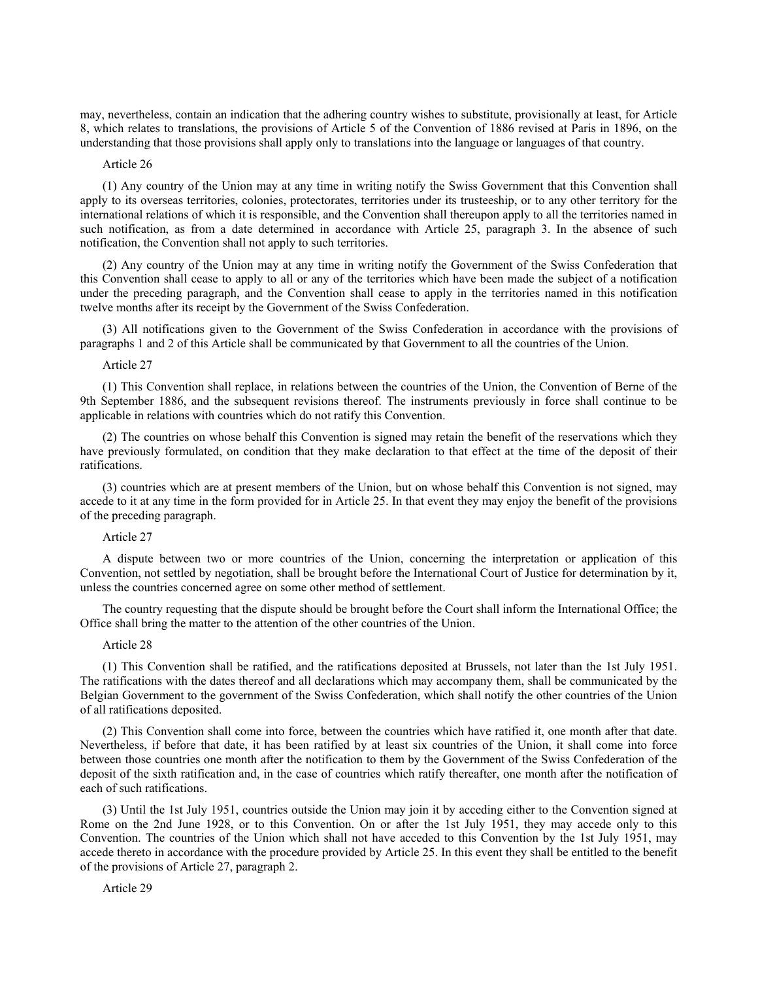may, nevertheless, contain an indication that the adhering country wishes to substitute, provisionally at least, for Article 8, which relates to translations, the provisions of Article 5 of the Convention of 1886 revised at Paris in 1896, on the understanding that those provisions shall apply only to translations into the language or languages of that country.

# Article 26

(1) Any country of the Union may at any time in writing notify the Swiss Government that this Convention shall apply to its overseas territories, colonies, protectorates, territories under its trusteeship, or to any other territory for the international relations of which it is responsible, and the Convention shall thereupon apply to all the territories named in such notification, as from a date determined in accordance with Article 25, paragraph 3. In the absence of such notification, the Convention shall not apply to such territories.

(2) Any country of the Union may at any time in writing notify the Government of the Swiss Confederation that this Convention shall cease to apply to all or any of the territories which have been made the subject of a notification under the preceding paragraph, and the Convention shall cease to apply in the territories named in this notification twelve months after its receipt by the Government of the Swiss Confederation.

(3) All notifications given to the Government of the Swiss Confederation in accordance with the provisions of paragraphs 1 and 2 of this Article shall be communicated by that Government to all the countries of the Union.

#### Article 27

(1) This Convention shall replace, in relations between the countries of the Union, the Convention of Berne of the 9th September 1886, and the subsequent revisions thereof. The instruments previously in force shall continue to be applicable in relations with countries which do not ratify this Convention.

(2) The countries on whose behalf this Convention is signed may retain the benefit of the reservations which they have previously formulated, on condition that they make declaration to that effect at the time of the deposit of their ratifications.

(3) countries which are at present members of the Union, but on whose behalf this Convention is not signed, may accede to it at any time in the form provided for in Article 25. In that event they may enjoy the benefit of the provisions of the preceding paragraph.

# Article 27

A dispute between two or more countries of the Union, concerning the interpretation or application of this Convention, not settled by negotiation, shall be brought before the International Court of Justice for determination by it, unless the countries concerned agree on some other method of settlement.

The country requesting that the dispute should be brought before the Court shall inform the International Office; the Office shall bring the matter to the attention of the other countries of the Union.

### Article 28

(1) This Convention shall be ratified, and the ratifications deposited at Brussels, not later than the 1st July 1951. The ratifications with the dates thereof and all declarations which may accompany them, shall be communicated by the Belgian Government to the government of the Swiss Confederation, which shall notify the other countries of the Union of all ratifications deposited.

(2) This Convention shall come into force, between the countries which have ratified it, one month after that date. Nevertheless, if before that date, it has been ratified by at least six countries of the Union, it shall come into force between those countries one month after the notification to them by the Government of the Swiss Confederation of the deposit of the sixth ratification and, in the case of countries which ratify thereafter, one month after the notification of each of such ratifications.

(3) Until the 1st July 1951, countries outside the Union may join it by acceding either to the Convention signed at Rome on the 2nd June 1928, or to this Convention. On or after the 1st July 1951, they may accede only to this Convention. The countries of the Union which shall not have acceded to this Convention by the 1st July 1951, may accede thereto in accordance with the procedure provided by Article 25. In this event they shall be entitled to the benefit of the provisions of Article 27, paragraph 2.

Article 29